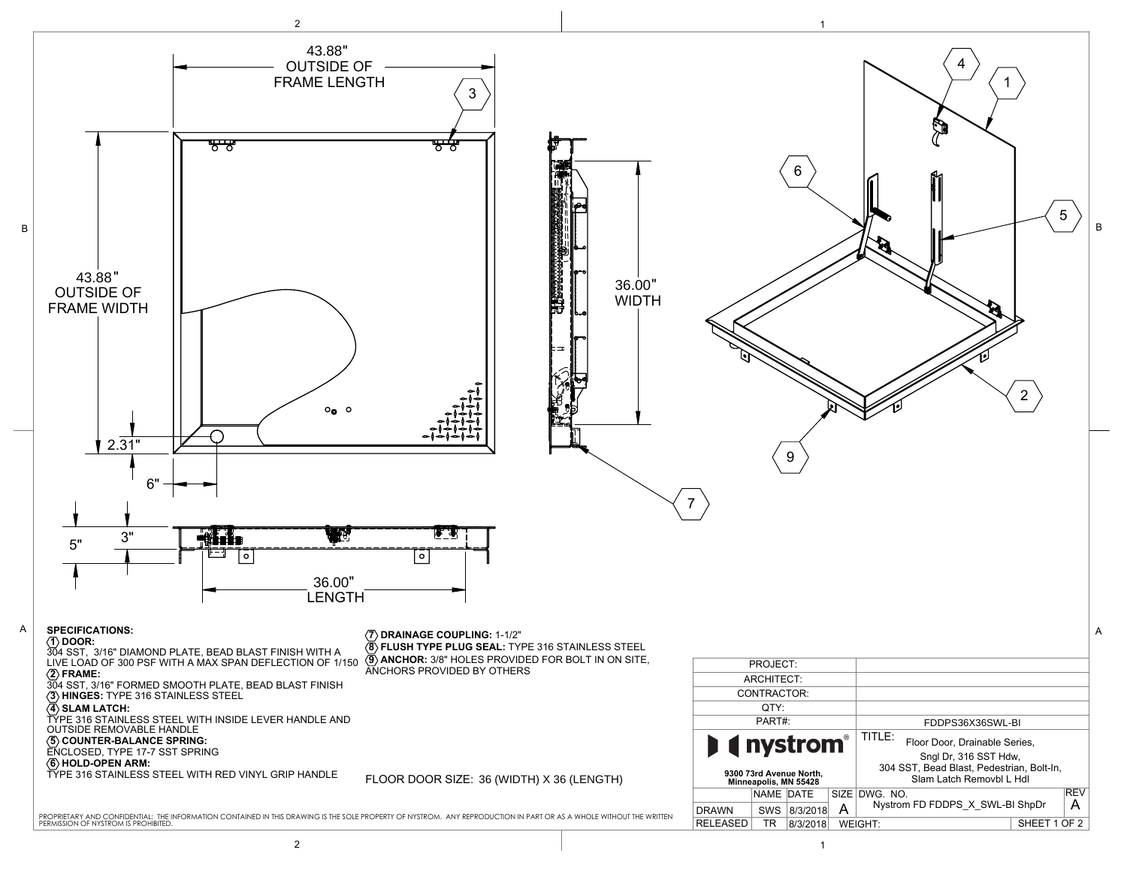

2 to the contract of the contract of  $\vert$  . The contract of the contract of the contract of the contract of the contract of the contract of the contract of the contract of the contract of the contract of the contract of t